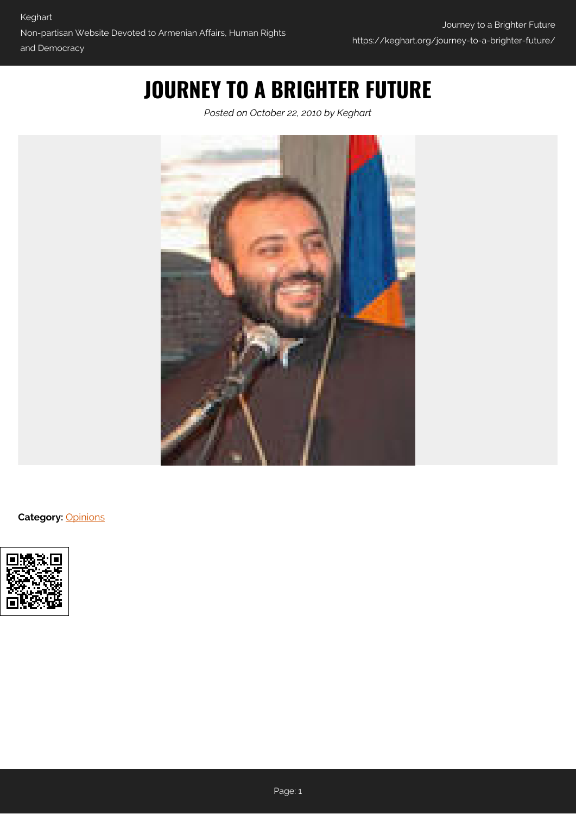## **JOURNEY TO A BRIGHTER FUTURE**

*Posted on October 22, 2010 by Keghart*



**Category:** [Opinions](https://keghart.org/category/opinions/)

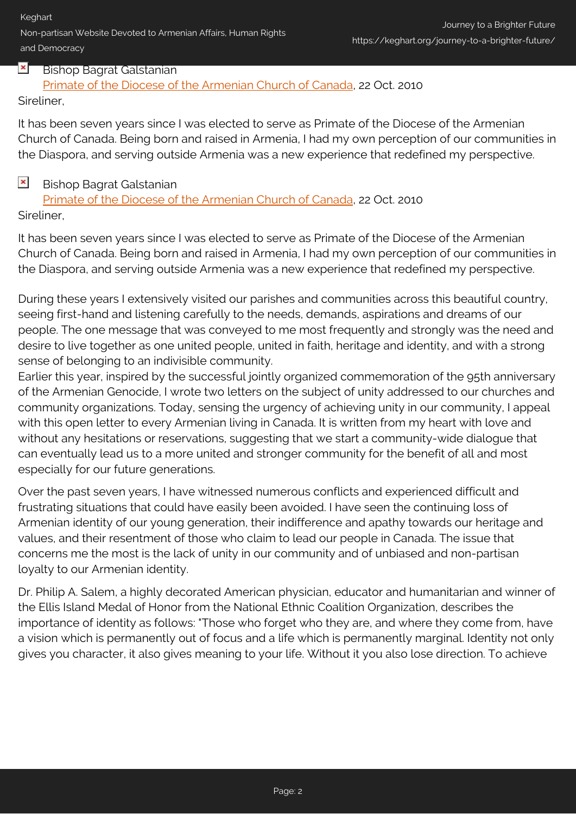Keghart

Non-partisan Website Devoted to Armenian Affairs, Human Rights and Democracy

## $\pmb{\times}$ Bishop Bagrat Galstanian

[Primate of the Diocese of the Armenian Church of Canada,](http://www.armenianchurch.ca/news.php?subaction=showfull&id=1287791765&archive=&start_from=&ucat=2&) 22 Oct. 2010

Sireliner,

It has been seven years since I was elected to serve as Primate of the Diocese of the Armenian Church of Canada. Being born and raised in Armenia, I had my own perception of our communities in the Diaspora, and serving outside Armenia was a new experience that redefined my perspective.

## $\pmb{\times}$ Bishop Bagrat Galstanian

[Primate of the Diocese of the Armenian Church of Canada,](http://www.armenianchurch.ca/news.php?subaction=showfull&id=1287791765&archive=&start_from=&ucat=2&) 22 Oct. 2010 Sireliner,

It has been seven years since I was elected to serve as Primate of the Diocese of the Armenian Church of Canada. Being born and raised in Armenia, I had my own perception of our communities in the Diaspora, and serving outside Armenia was a new experience that redefined my perspective.

During these years I extensively visited our parishes and communities across this beautiful country, seeing first-hand and listening carefully to the needs, demands, aspirations and dreams of our people. The one message that was conveyed to me most frequently and strongly was the need and desire to live together as one united people, united in faith, heritage and identity, and with a strong sense of belonging to an indivisible community.

Earlier this year, inspired by the successful jointly organized commemoration of the 95th anniversary of the Armenian Genocide, I wrote two letters on the subject of unity addressed to our churches and community organizations. Today, sensing the urgency of achieving unity in our community, I appeal with this open letter to every Armenian living in Canada. It is written from my heart with love and without any hesitations or reservations, suggesting that we start a community-wide dialogue that can eventually lead us to a more united and stronger community for the benefit of all and most especially for our future generations.

Over the past seven years, I have witnessed numerous conflicts and experienced difficult and frustrating situations that could have easily been avoided. I have seen the continuing loss of Armenian identity of our young generation, their indifference and apathy towards our heritage and values, and their resentment of those who claim to lead our people in Canada. The issue that concerns me the most is the lack of unity in our community and of unbiased and non-partisan loyalty to our Armenian identity.

Dr. Philip A. Salem, a highly decorated American physician, educator and humanitarian and winner of the Ellis Island Medal of Honor from the National Ethnic Coalition Organization, describes the importance of identity as follows: "Those who forget who they are, and where they come from, have a vision which is permanently out of focus and a life which is permanently marginal. Identity not only gives you character, it also gives meaning to your life. Without it you also lose direction. To achieve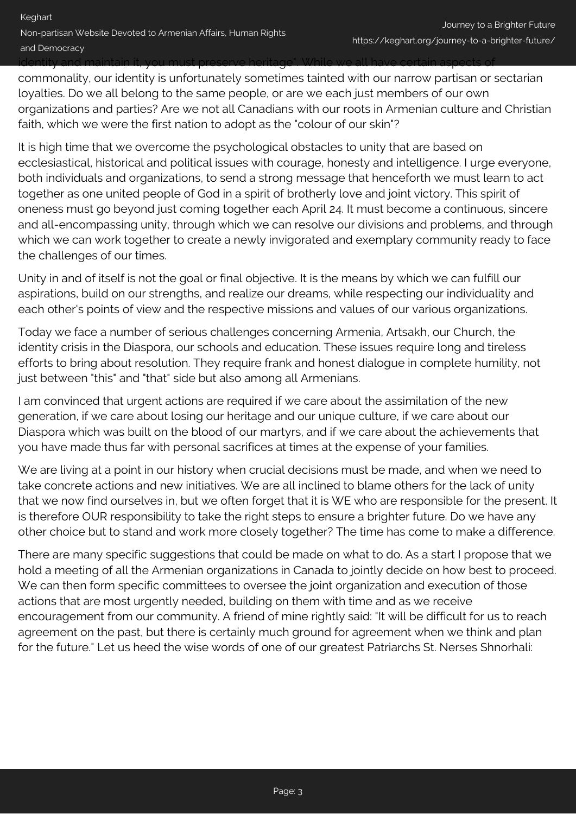identity and maintain it, you must preserve heritage". While we all have certain aspects of

commonality, our identity is unfortunately sometimes tainted with our narrow partisan or sectarian loyalties. Do we all belong to the same people, or are we each just members of our own organizations and parties? Are we not all Canadians with our roots in Armenian culture and Christian faith, which we were the first nation to adopt as the "colour of our skin"?

It is high time that we overcome the psychological obstacles to unity that are based on ecclesiastical, historical and political issues with courage, honesty and intelligence. I urge everyone, both individuals and organizations, to send a strong message that henceforth we must learn to act together as one united people of God in a spirit of brotherly love and joint victory. This spirit of oneness must go beyond just coming together each April 24. It must become a continuous, sincere and all-encompassing unity, through which we can resolve our divisions and problems, and through which we can work together to create a newly invigorated and exemplary community ready to face the challenges of our times.

Unity in and of itself is not the goal or final objective. It is the means by which we can fulfill our aspirations, build on our strengths, and realize our dreams, while respecting our individuality and each other's points of view and the respective missions and values of our various organizations.

Today we face a number of serious challenges concerning Armenia, Artsakh, our Church, the identity crisis in the Diaspora, our schools and education. These issues require long and tireless efforts to bring about resolution. They require frank and honest dialogue in complete humility, not just between "this" and "that" side but also among all Armenians.

I am convinced that urgent actions are required if we care about the assimilation of the new generation, if we care about losing our heritage and our unique culture, if we care about our Diaspora which was built on the blood of our martyrs, and if we care about the achievements that you have made thus far with personal sacrifices at times at the expense of your families.

We are living at a point in our history when crucial decisions must be made, and when we need to take concrete actions and new initiatives. We are all inclined to blame others for the lack of unity that we now find ourselves in, but we often forget that it is WE who are responsible for the present. It is therefore OUR responsibility to take the right steps to ensure a brighter future. Do we have any other choice but to stand and work more closely together? The time has come to make a difference.

There are many specific suggestions that could be made on what to do. As a start I propose that we hold a meeting of all the Armenian organizations in Canada to jointly decide on how best to proceed. We can then form specific committees to oversee the joint organization and execution of those actions that are most urgently needed, building on them with time and as we receive encouragement from our community. A friend of mine rightly said: "It will be difficult for us to reach agreement on the past, but there is certainly much ground for agreement when we think and plan for the future." Let us heed the wise words of one of our greatest Patriarchs St. Nerses Shnorhali: